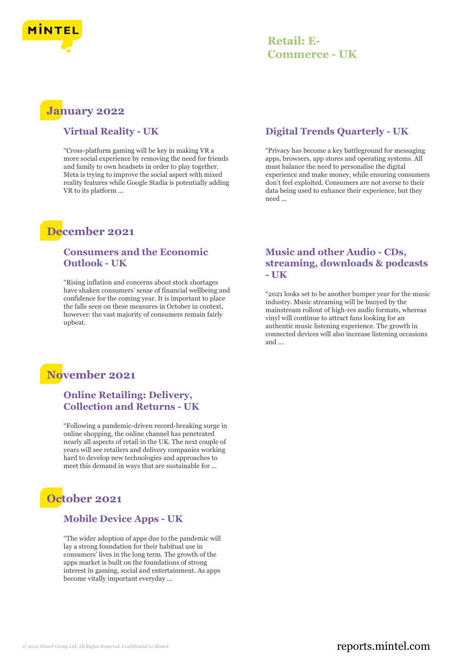

## **Retail: E-Commerce - UK**

## **January 2022**

#### **Virtual Reality - UK**

"Cross-platform gaming will be key in making VR a more social experience by removing the need for friends and family to own headsets in order to play together. Meta is trying to improve the social aspect with mixed reality features while Google Stadia is potentially adding VR to its platform ...

## **December 2021**

#### **Consumers and the Economic Outlook - UK**

"Rising inflation and concerns about stock shortages have shaken consumers' sense of financial wellbeing and confidence for the coming year. It is important to place the falls seen on these measures in October in context, however: the vast majority of consumers remain fairly upbeat.

## **November 2021**

#### **Online Retailing: Delivery, Collection and Returns - UK**

"Following a pandemic-driven record-breaking surge in online shopping, the online channel has penetrated nearly all aspects of retail in the UK. The next couple of years will see retailers and delivery companies working hard to develop new technologies and approaches to meet this demand in ways that are sustainable for ...

# **October 2021**

#### **Mobile Device Apps - UK**

"The wider adoption of apps due to the pandemic will lay a strong foundation for their habitual use in consumers' lives in the long term. The growth of the apps market is built on the foundations of strong interest in gaming, social and entertainment. As apps become vitally important everyday ...

### **Digital Trends Quarterly - UK**

"Privacy has become a key battleground for messaging apps, browsers, app stores and operating systems. All must balance the need to personalise the digital experience and make money, while ensuring consumers don't feel exploited. Consumers are not averse to their data being used to enhance their experience, but they need ...

#### **Music and other Audio - CDs, streaming, downloads & podcasts - UK**

"2021 looks set to be another bumper year for the music industry. Music streaming will be buoyed by the mainstream rollout of high-res audio formats, whereas vinyl will continue to attract fans looking for an authentic music listening experience. The growth in connected devices will also increase listening occasions and ...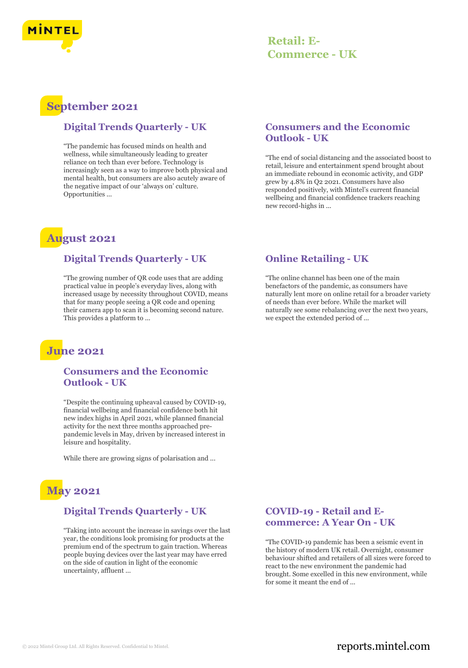

## **Retail: E-Commerce - UK**

## **September 2021**

#### **Digital Trends Quarterly - UK**

"The pandemic has focused minds on health and wellness, while simultaneously leading to greater reliance on tech than ever before. Technology is increasingly seen as a way to improve both physical and mental health, but consumers are also acutely aware of the negative impact of our 'always on' culture. Opportunities ...

## **August 2021**

#### **Digital Trends Quarterly - UK**

"The growing number of QR code uses that are adding practical value in people's everyday lives, along with increased usage by necessity throughout COVID, means that for many people seeing a QR code and opening their camera app to scan it is becoming second nature. This provides a platform to ...

# **June 2021**

#### **Consumers and the Economic Outlook - UK**

"Despite the continuing upheaval caused by COVID-19, financial wellbeing and financial confidence both hit new index highs in April 2021, while planned financial activity for the next three months approached prepandemic levels in May, driven by increased interest in leisure and hospitality.

While there are growing signs of polarisation and ...

# **May 2021**

## **Digital Trends Quarterly - UK**

"Taking into account the increase in savings over the last year, the conditions look promising for products at the premium end of the spectrum to gain traction. Whereas people buying devices over the last year may have erred on the side of caution in light of the economic uncertainty, affluent ...

#### **Consumers and the Economic Outlook - UK**

"The end of social distancing and the associated boost to retail, leisure and entertainment spend brought about an immediate rebound in economic activity, and GDP grew by 4.8% in Q2 2021. Consumers have also responded positively, with Mintel's current financial wellbeing and financial confidence trackers reaching new record-highs in ...

#### **Online Retailing - UK**

"The online channel has been one of the main benefactors of the pandemic, as consumers have naturally lent more on online retail for a broader variety of needs than ever before. While the market will naturally see some rebalancing over the next two years, we expect the extended period of ...

#### **COVID-19 - Retail and Ecommerce: A Year On - UK**

"The COVID-19 pandemic has been a seismic event in the history of modern UK retail. Overnight, consumer behaviour shifted and retailers of all sizes were forced to react to the new environment the pandemic had brought. Some excelled in this new environment, while for some it meant the end of ...